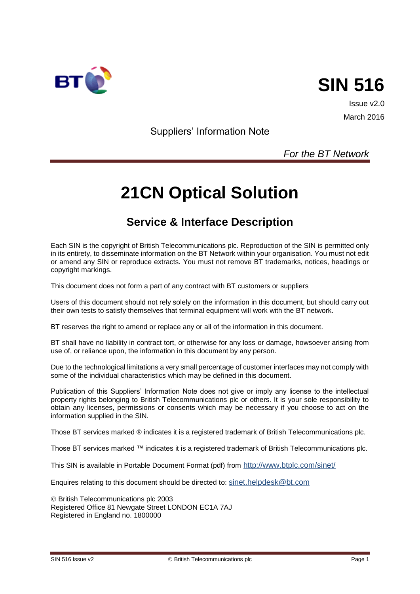



Issue v2.0 March 2016

Suppliers' Information Note

## *For the BT Network*

# **21CN Optical Solution**

# **Service & Interface Description**

Each SIN is the copyright of British Telecommunications plc. Reproduction of the SIN is permitted only in its entirety, to disseminate information on the BT Network within your organisation. You must not edit or amend any SIN or reproduce extracts. You must not remove BT trademarks, notices, headings or copyright markings.

This document does not form a part of any contract with BT customers or suppliers

Users of this document should not rely solely on the information in this document, but should carry out their own tests to satisfy themselves that terminal equipment will work with the BT network.

BT reserves the right to amend or replace any or all of the information in this document.

BT shall have no liability in contract tort, or otherwise for any loss or damage, howsoever arising from use of, or reliance upon, the information in this document by any person.

Due to the technological limitations a very small percentage of customer interfaces may not comply with some of the individual characteristics which may be defined in this document.

Publication of this Suppliers' Information Note does not give or imply any license to the intellectual property rights belonging to British Telecommunications plc or others. It is your sole responsibility to obtain any licenses, permissions or consents which may be necessary if you choose to act on the information supplied in the SIN.

Those BT services marked ® indicates it is a registered trademark of British Telecommunications plc.

Those BT services marked ™ indicates it is a registered trademark of British Telecommunications plc.

This SIN is available in Portable Document Format (pdf) from <http://www.btplc.com/sinet/>

Enquires relating to this document should be directed to: [sinet.helpdesk@bt.com](mailto:sinet.helpdesk@bt.com)

 British Telecommunications plc 2003 Registered Office 81 Newgate Street LONDON EC1A 7AJ Registered in England no. 1800000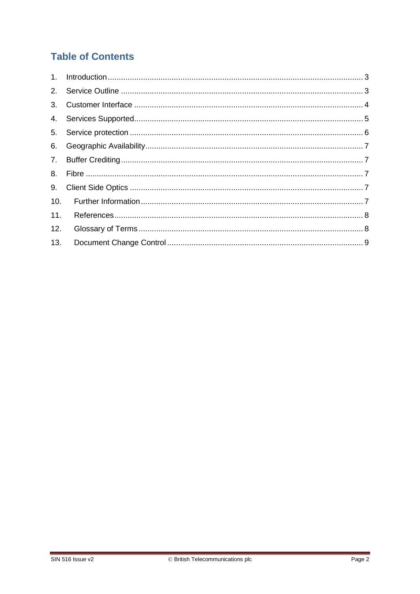# **Table of Contents**

| 10. |  |
|-----|--|
| 11. |  |
| 12. |  |
| 13. |  |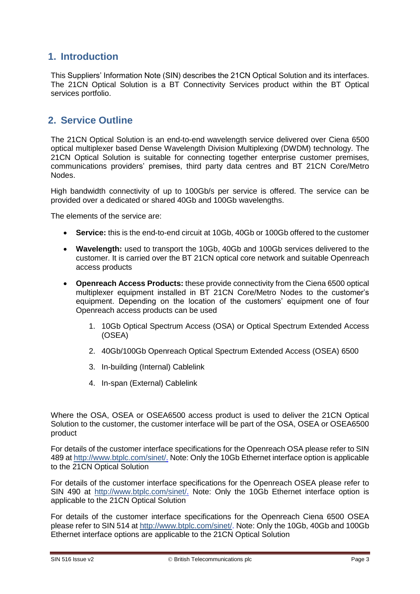#### <span id="page-2-0"></span>**1. Introduction**

This Suppliers' Information Note (SIN) describes the 21CN Optical Solution and its interfaces. The 21CN Optical Solution is a BT Connectivity Services product within the BT Optical services portfolio.

#### <span id="page-2-1"></span>**2. Service Outline**

The 21CN Optical Solution is an end-to-end wavelength service delivered over Ciena 6500 optical multiplexer based Dense Wavelength Division Multiplexing (DWDM) technology. The 21CN Optical Solution is suitable for connecting together enterprise customer premises, communications providers' premises, third party data centres and BT 21CN Core/Metro Nodes.

High bandwidth connectivity of up to 100Gb/s per service is offered. The service can be provided over a dedicated or shared 40Gb and 100Gb wavelengths.

The elements of the service are:

- **Service:** this is the end-to-end circuit at 10Gb, 40Gb or 100Gb offered to the customer
- **Wavelength:** used to transport the 10Gb, 40Gb and 100Gb services delivered to the customer. It is carried over the BT 21CN optical core network and suitable Openreach access products
- **Openreach Access Products:** these provide connectivity from the Ciena 6500 optical multiplexer equipment installed in BT 21CN Core/Metro Nodes to the customer's equipment. Depending on the location of the customers' equipment one of four Openreach access products can be used
	- 1. 10Gb Optical Spectrum Access (OSA) or Optical Spectrum Extended Access (OSEA)
	- 2. 40Gb/100Gb Openreach Optical Spectrum Extended Access (OSEA) 6500
	- 3. In-building (Internal) Cablelink
	- 4. In-span (External) Cablelink

Where the OSA, OSEA or OSEA6500 access product is used to deliver the 21CN Optical Solution to the customer, the customer interface will be part of the OSA, OSEA or OSEA6500 product

For details of the customer interface specifications for the Openreach OSA please refer to SIN 489 a[t http://www.btplc.com/sinet/.](http://www.btplc.com/sinet/) Note: Only the 10Gb Ethernet interface option is applicable to the 21CN Optical Solution

For details of the customer interface specifications for the Openreach OSEA please refer to SIN 490 at [http://www.btplc.com/sinet/.](http://www.btplc.com/sinet/) Note: Only the 10Gb Ethernet interface option is applicable to the 21CN Optical Solution

For details of the customer interface specifications for the Openreach Ciena 6500 OSEA please refer to SIN 514 at [http://www.btplc.com/sinet/.](http://www.btplc.com/sinet/) Note: Only the 10Gb, 40Gb and 100Gb Ethernet interface options are applicable to the 21CN Optical Solution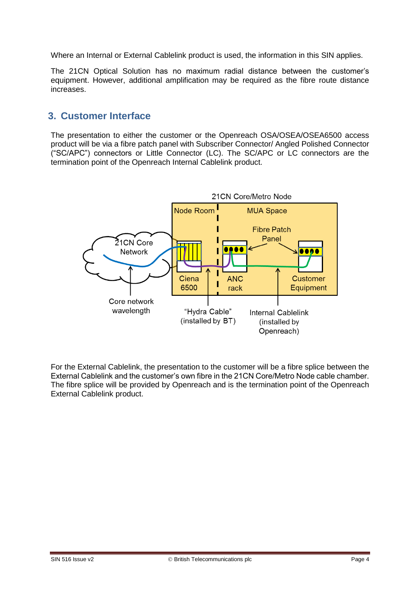Where an Internal or External Cablelink product is used, the information in this SIN applies.

The 21CN Optical Solution has no maximum radial distance between the customer's equipment. However, additional amplification may be required as the fibre route distance increases.

#### <span id="page-3-0"></span>**3. Customer Interface**

The presentation to either the customer or the Openreach OSA/OSEA/OSEA6500 access product will be via a fibre patch panel with Subscriber Connector/ Angled Polished Connector ("SC/APC") connectors or Little Connector (LC). The SC/APC or LC connectors are the termination point of the Openreach Internal Cablelink product.



For the External Cablelink, the presentation to the customer will be a fibre splice between the External Cablelink and the customer's own fibre in the 21CN Core/Metro Node cable chamber. The fibre splice will be provided by Openreach and is the termination point of the Openreach External Cablelink product.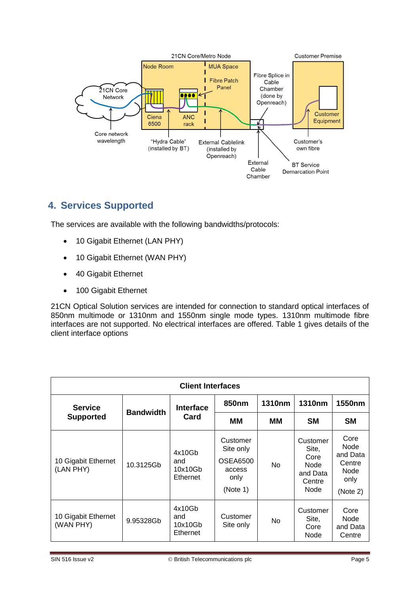

## <span id="page-4-0"></span>**4. Services Supported**

The services are available with the following bandwidths/protocols:

- 10 Gigabit Ethernet (LAN PHY)
- 10 Gigabit Ethernet (WAN PHY)
- 40 Gigabit Ethernet
- 100 Gigabit Ethernet

21CN Optical Solution services are intended for connection to standard optical interfaces of 850nm multimode or 1310nm and 1550nm single mode types. 1310nm multimode fibre interfaces are not supported. No electrical interfaces are offered. Table 1 gives details of the client interface options

| <b>Client Interfaces</b>         |                  |                                      |                                                                 |           |                                                                 |                                                                |
|----------------------------------|------------------|--------------------------------------|-----------------------------------------------------------------|-----------|-----------------------------------------------------------------|----------------------------------------------------------------|
| <b>Service</b>                   | <b>Bandwidth</b> | <b>Interface</b><br>Card             | 850 <sub>nm</sub>                                               | 1310nm    | <b>1310nm</b>                                                   | 1550 <sub>nm</sub>                                             |
| <b>Supported</b>                 |                  |                                      | MМ                                                              | мм        | <b>SM</b>                                                       | <b>SM</b>                                                      |
| 10 Gigabit Ethernet<br>(LAN PHY) | 10.3125Gb        | 4x10Gb<br>and<br>10x10Gb<br>Ethernet | Customer<br>Site only<br>OSEA6500<br>access<br>only<br>(Note 1) | <b>No</b> | Customer<br>Site,<br>Core<br>Node<br>and Data<br>Centre<br>Node | Core<br>Node<br>and Data<br>Centre<br>Node<br>only<br>(Note 2) |
| 10 Gigabit Ethernet<br>(WAN PHY) | 9.95328Gb        | 4x10Gb<br>and<br>10x10Gb<br>Ethernet | Customer<br>Site only                                           | No.       | Customer<br>Site,<br>Core<br>Node                               | Core<br>Node<br>and Data<br>Centre                             |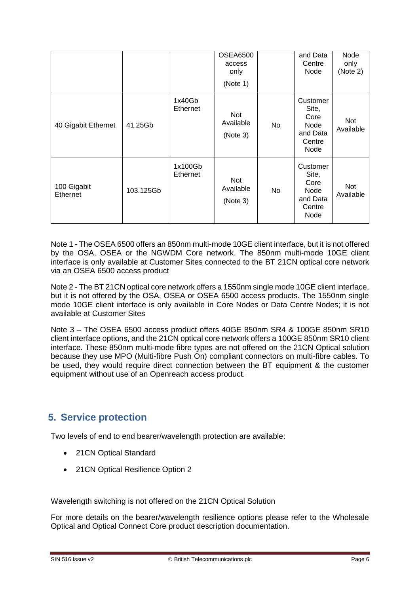|                         |           |                     | <b>OSEA6500</b><br>access<br>only<br>(Note 1) |     | and Data<br>Centre<br>Node                                      | Node<br>only<br>(Note 2) |
|-------------------------|-----------|---------------------|-----------------------------------------------|-----|-----------------------------------------------------------------|--------------------------|
| 40 Gigabit Ethernet     | 41.25Gb   | 1x40Gb<br>Ethernet  | <b>Not</b><br>Available<br>(Note 3)           | No. | Customer<br>Site,<br>Core<br>Node<br>and Data<br>Centre<br>Node | <b>Not</b><br>Available  |
| 100 Gigabit<br>Ethernet | 103.125Gb | 1x100Gb<br>Ethernet | Not<br>Available<br>(Note 3)                  | No. | Customer<br>Site,<br>Core<br>Node<br>and Data<br>Centre<br>Node | Not<br>Available         |

Note 1 - The OSEA 6500 offers an 850nm multi-mode 10GE client interface, but it is not offered by the OSA, OSEA or the NGWDM Core network. The 850nm multi-mode 10GE client interface is only available at Customer Sites connected to the BT 21CN optical core network via an OSEA 6500 access product

Note 2 - The BT 21CN optical core network offers a 1550nm single mode 10GE client interface, but it is not offered by the OSA, OSEA or OSEA 6500 access products. The 1550nm single mode 10GE client interface is only available in Core Nodes or Data Centre Nodes; it is not available at Customer Sites

Note 3 – The OSEA 6500 access product offers 40GE 850nm SR4 & 100GE 850nm SR10 client interface options, and the 21CN optical core network offers a 100GE 850nm SR10 client interface. These 850nm multi-mode fibre types are not offered on the 21CN Optical solution because they use MPO (Multi-fibre Push On) compliant connectors on multi-fibre cables. To be used, they would require direct connection between the BT equipment & the customer equipment without use of an Openreach access product.

## <span id="page-5-0"></span>**5. Service protection**

Two levels of end to end bearer/wavelength protection are available:

- 21CN Optical Standard
- 21CN Optical Resilience Option 2

Wavelength switching is not offered on the 21CN Optical Solution

For more details on the bearer/wavelength resilience options please refer to the Wholesale Optical and Optical Connect Core product description documentation.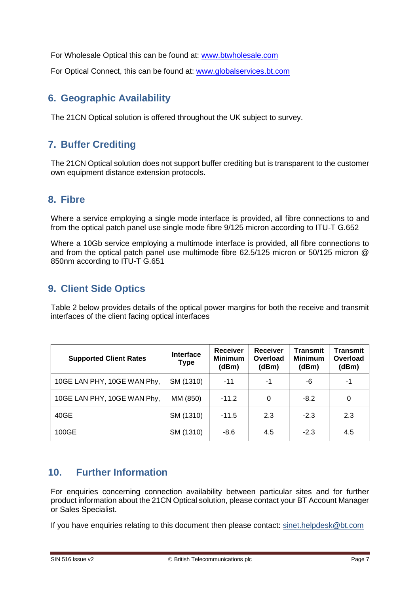For Wholesale Optical this can be found at: [www.btwholesale.com](http://www.btwholesale.com/)

For Optical Connect, this can be found at: [www.globalservices.bt.com](http://www.globalservices.bt.com/)

#### <span id="page-6-0"></span>**6. Geographic Availability**

The 21CN Optical solution is offered throughout the UK subject to survey.

## <span id="page-6-1"></span>**7. Buffer Crediting**

The 21CN Optical solution does not support buffer crediting but is transparent to the customer own equipment distance extension protocols.

#### <span id="page-6-2"></span>**8. Fibre**

Where a service employing a single mode interface is provided, all fibre connections to and from the optical patch panel use single mode fibre 9/125 micron according to ITU-T G.652

Where a 10Gb service employing a multimode interface is provided, all fibre connections to and from the optical patch panel use multimode fibre 62.5/125 micron or 50/125 micron @ 850nm according to ITU-T G.651

#### <span id="page-6-3"></span>**9. Client Side Optics**

Table 2 below provides details of the optical power margins for both the receive and transmit interfaces of the client facing optical interfaces

| <b>Supported Client Rates</b> | <b>Interface</b><br><b>Type</b> | <b>Receiver</b><br><b>Minimum</b><br>(dBm) | <b>Receiver</b><br>Overload<br>(dBm) | <b>Transmit</b><br><b>Minimum</b><br>(dBm) | Transmit<br>Overload<br>(dBm) |
|-------------------------------|---------------------------------|--------------------------------------------|--------------------------------------|--------------------------------------------|-------------------------------|
| 10GE LAN PHY, 10GE WAN Phy,   | SM (1310)                       | $-11$                                      | -1                                   | -6                                         | -1                            |
| 10GE LAN PHY, 10GE WAN Phy,   | MM (850)                        | $-11.2$                                    | 0                                    | $-8.2$                                     | 0                             |
| 40GE                          | SM (1310)                       | $-11.5$                                    | 2.3                                  | $-2.3$                                     | 2.3                           |
| 100GE                         | SM (1310)                       | $-8.6$                                     | 4.5                                  | $-2.3$                                     | 4.5                           |

#### <span id="page-6-4"></span>**10. Further Information**

For enquiries concerning connection availability between particular sites and for further product information about the 21CN Optical solution, please contact your BT Account Manager or Sales Specialist.

If you have enquiries relating to this document then please contact: [sinet.helpdesk@bt.com](mailto:sinet.helpdesk@bt.com)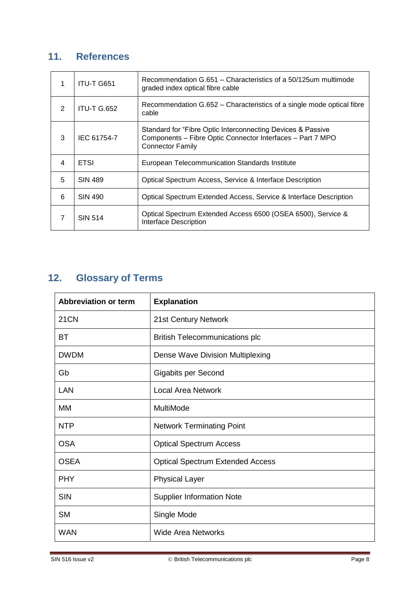## <span id="page-7-0"></span>**11. References**

| 1 | ITU-T G651         | Recommendation G.651 – Characteristics of a 50/125um multimode<br>graded index optical fibre cable                                                   |
|---|--------------------|------------------------------------------------------------------------------------------------------------------------------------------------------|
| 2 | <b>ITU-T G.652</b> | Recommendation G.652 – Characteristics of a single mode optical fibre<br>cable                                                                       |
| 3 | IEC 61754-7        | Standard for "Fibre Optic Interconnecting Devices & Passive<br>Components - Fibre Optic Connector Interfaces - Part 7 MPO<br><b>Connector Family</b> |
| 4 | <b>ETSI</b>        | European Telecommunication Standards Institute                                                                                                       |
| 5 | <b>SIN 489</b>     | Optical Spectrum Access, Service & Interface Description                                                                                             |
| 6 | SIN 490            | Optical Spectrum Extended Access, Service & Interface Description                                                                                    |
| 7 | <b>SIN 514</b>     | Optical Spectrum Extended Access 6500 (OSEA 6500), Service &<br><b>Interface Description</b>                                                         |

# <span id="page-7-1"></span>**12. Glossary of Terms**

| <b>Abbreviation or term</b> | <b>Explanation</b>                      |
|-----------------------------|-----------------------------------------|
| <b>21CN</b>                 | 21st Century Network                    |
| ВT                          | <b>British Telecommunications plc</b>   |
| <b>DWDM</b>                 | Dense Wave Division Multiplexing        |
| Gb                          | Gigabits per Second                     |
| LAN                         | <b>Local Area Network</b>               |
| <b>MM</b>                   | MultiMode                               |
| <b>NTP</b>                  | <b>Network Terminating Point</b>        |
| <b>OSA</b>                  | <b>Optical Spectrum Access</b>          |
| <b>OSEA</b>                 | <b>Optical Spectrum Extended Access</b> |
| <b>PHY</b>                  | <b>Physical Layer</b>                   |
| <b>SIN</b>                  | <b>Supplier Information Note</b>        |
| <b>SM</b>                   | Single Mode                             |
| <b>WAN</b>                  | <b>Wide Area Networks</b>               |